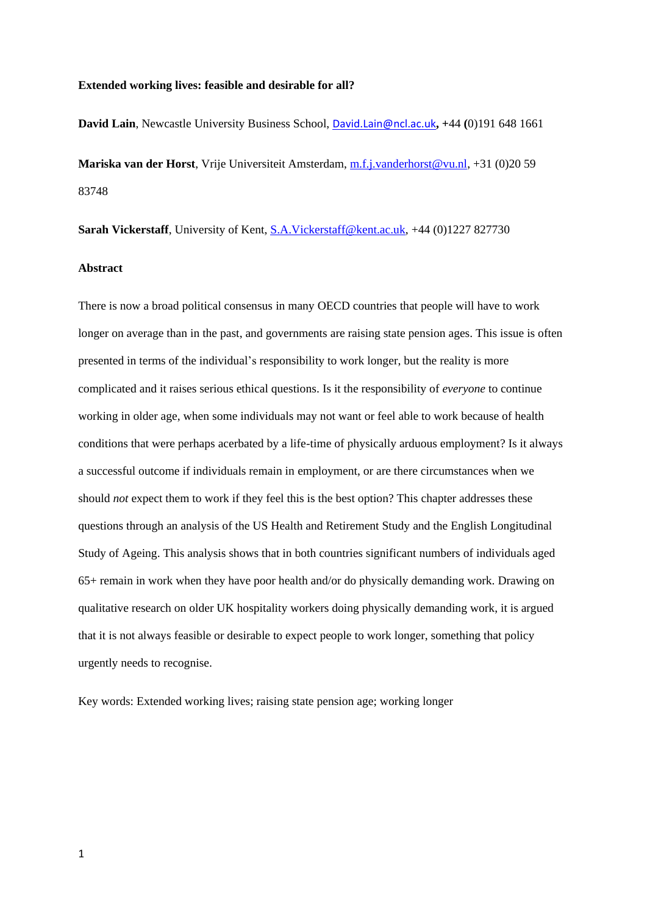#### **Extended working lives: feasible and desirable for all?**

**David Lain**, Newcastle University Business School, [David.Lain@ncl.ac.uk](mailto:David.Lain@ncl.ac.uk)**, +**44 **(**0)191 648 1661 **Mariska van der Horst**, Vrije Universiteit Amsterdam, [m.f.j.vanderhorst@vu.nl,](mailto:m.f.j.vanderhorst@vu.nl) +31 (0)20 59 83748

**Sarah Vickerstaff**, University of Kent, **S.A.Vickerstaff@kent.ac.uk**, +44 (0)1227 827730

## **Abstract**

There is now a broad political consensus in many OECD countries that people will have to work longer on average than in the past, and governments are raising state pension ages. This issue is often presented in terms of the individual's responsibility to work longer, but the reality is more complicated and it raises serious ethical questions. Is it the responsibility of *everyone* to continue working in older age, when some individuals may not want or feel able to work because of health conditions that were perhaps acerbated by a life-time of physically arduous employment? Is it always a successful outcome if individuals remain in employment, or are there circumstances when we should *not* expect them to work if they feel this is the best option? This chapter addresses these questions through an analysis of the US Health and Retirement Study and the English Longitudinal Study of Ageing. This analysis shows that in both countries significant numbers of individuals aged 65+ remain in work when they have poor health and/or do physically demanding work. Drawing on qualitative research on older UK hospitality workers doing physically demanding work, it is argued that it is not always feasible or desirable to expect people to work longer, something that policy urgently needs to recognise.

Key words: Extended working lives; raising state pension age; working longer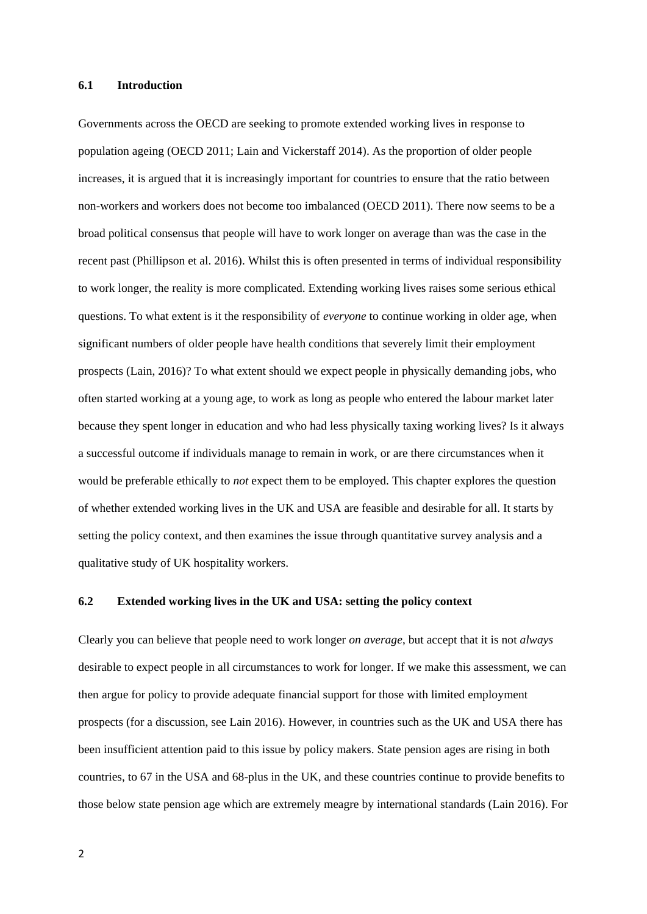#### **6.1 Introduction**

Governments across the OECD are seeking to promote extended working lives in response to population ageing (OECD 2011; Lain and Vickerstaff 2014). As the proportion of older people increases, it is argued that it is increasingly important for countries to ensure that the ratio between non-workers and workers does not become too imbalanced (OECD 2011). There now seems to be a broad political consensus that people will have to work longer on average than was the case in the recent past (Phillipson et al. 2016). Whilst this is often presented in terms of individual responsibility to work longer, the reality is more complicated. Extending working lives raises some serious ethical questions. To what extent is it the responsibility of *everyone* to continue working in older age, when significant numbers of older people have health conditions that severely limit their employment prospects (Lain, 2016)? To what extent should we expect people in physically demanding jobs, who often started working at a young age, to work as long as people who entered the labour market later because they spent longer in education and who had less physically taxing working lives? Is it always a successful outcome if individuals manage to remain in work, or are there circumstances when it would be preferable ethically to *not* expect them to be employed. This chapter explores the question of whether extended working lives in the UK and USA are feasible and desirable for all. It starts by setting the policy context, and then examines the issue through quantitative survey analysis and a qualitative study of UK hospitality workers.

## **6.2 Extended working lives in the UK and USA: setting the policy context**

Clearly you can believe that people need to work longer *on average*, but accept that it is not *always* desirable to expect people in all circumstances to work for longer. If we make this assessment, we can then argue for policy to provide adequate financial support for those with limited employment prospects (for a discussion, see Lain 2016). However, in countries such as the UK and USA there has been insufficient attention paid to this issue by policy makers. State pension ages are rising in both countries, to 67 in the USA and 68-plus in the UK, and these countries continue to provide benefits to those below state pension age which are extremely meagre by international standards (Lain 2016). For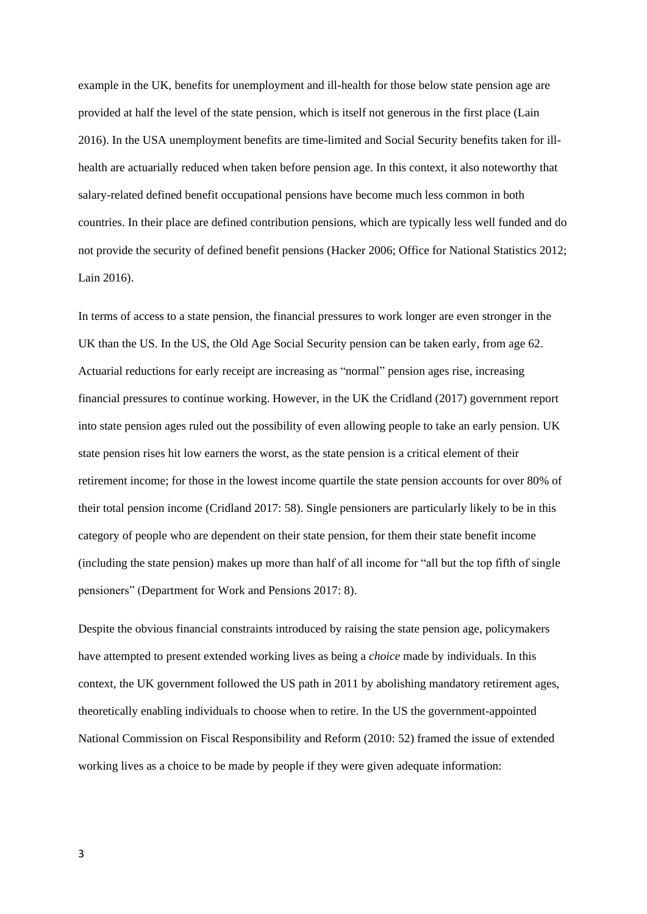example in the UK, benefits for unemployment and ill-health for those below state pension age are provided at half the level of the state pension, which is itself not generous in the first place (Lain 2016). In the USA unemployment benefits are time-limited and Social Security benefits taken for illhealth are actuarially reduced when taken before pension age. In this context, it also noteworthy that salary-related defined benefit occupational pensions have become much less common in both countries. In their place are defined contribution pensions, which are typically less well funded and do not provide the security of defined benefit pensions (Hacker 2006; Office for National Statistics 2012; Lain 2016).

In terms of access to a state pension, the financial pressures to work longer are even stronger in the UK than the US. In the US, the Old Age Social Security pension can be taken early, from age 62. Actuarial reductions for early receipt are increasing as "normal" pension ages rise, increasing financial pressures to continue working. However, in the UK the Cridland (2017) government report into state pension ages ruled out the possibility of even allowing people to take an early pension. UK state pension rises hit low earners the worst, as the state pension is a critical element of their retirement income; for those in the lowest income quartile the state pension accounts for over 80% of their total pension income (Cridland 2017: 58). Single pensioners are particularly likely to be in this category of people who are dependent on their state pension, for them their state benefit income (including the state pension) makes up more than half of all income for "all but the top fifth of single pensioners" (Department for Work and Pensions 2017: 8).

Despite the obvious financial constraints introduced by raising the state pension age, policymakers have attempted to present extended working lives as being a *choice* made by individuals. In this context, the UK government followed the US path in 2011 by abolishing mandatory retirement ages, theoretically enabling individuals to choose when to retire. In the US the government-appointed National Commission on Fiscal Responsibility and Reform (2010: 52) framed the issue of extended working lives as a choice to be made by people if they were given adequate information: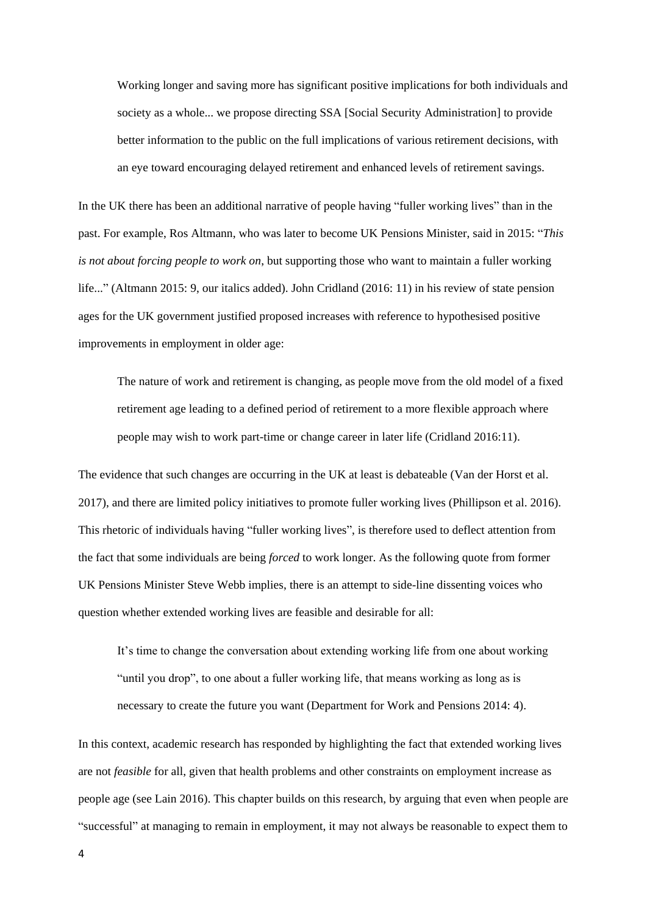Working longer and saving more has significant positive implications for both individuals and society as a whole... we propose directing SSA [Social Security Administration] to provide better information to the public on the full implications of various retirement decisions, with an eye toward encouraging delayed retirement and enhanced levels of retirement savings.

In the UK there has been an additional narrative of people having "fuller working lives" than in the past. For example, Ros Altmann, who was later to become UK Pensions Minister, said in 2015: "*This is not about forcing people to work on*, but supporting those who want to maintain a fuller working life..." (Altmann 2015: 9, our italics added). John Cridland (2016: 11) in his review of state pension ages for the UK government justified proposed increases with reference to hypothesised positive improvements in employment in older age:

The nature of work and retirement is changing, as people move from the old model of a fixed retirement age leading to a defined period of retirement to a more flexible approach where people may wish to work part-time or change career in later life (Cridland 2016:11).

The evidence that such changes are occurring in the UK at least is debateable (Van der Horst et al. 2017), and there are limited policy initiatives to promote fuller working lives (Phillipson et al. 2016). This rhetoric of individuals having "fuller working lives", is therefore used to deflect attention from the fact that some individuals are being *forced* to work longer. As the following quote from former UK Pensions Minister Steve Webb implies, there is an attempt to side-line dissenting voices who question whether extended working lives are feasible and desirable for all:

It's time to change the conversation about extending working life from one about working "until you drop", to one about a fuller working life, that means working as long as is necessary to create the future you want (Department for Work and Pensions 2014: 4).

In this context, academic research has responded by highlighting the fact that extended working lives are not *feasible* for all, given that health problems and other constraints on employment increase as people age (see Lain 2016). This chapter builds on this research, by arguing that even when people are "successful" at managing to remain in employment, it may not always be reasonable to expect them to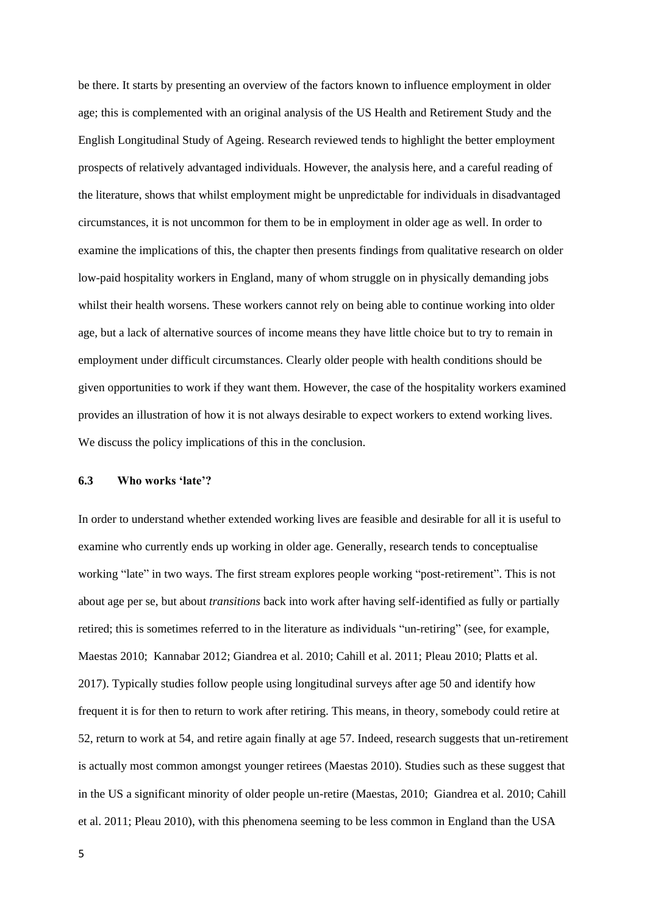be there. It starts by presenting an overview of the factors known to influence employment in older age; this is complemented with an original analysis of the US Health and Retirement Study and the English Longitudinal Study of Ageing. Research reviewed tends to highlight the better employment prospects of relatively advantaged individuals. However, the analysis here, and a careful reading of the literature, shows that whilst employment might be unpredictable for individuals in disadvantaged circumstances, it is not uncommon for them to be in employment in older age as well. In order to examine the implications of this, the chapter then presents findings from qualitative research on older low-paid hospitality workers in England, many of whom struggle on in physically demanding jobs whilst their health worsens. These workers cannot rely on being able to continue working into older age, but a lack of alternative sources of income means they have little choice but to try to remain in employment under difficult circumstances. Clearly older people with health conditions should be given opportunities to work if they want them. However, the case of the hospitality workers examined provides an illustration of how it is not always desirable to expect workers to extend working lives. We discuss the policy implications of this in the conclusion.

## **6.3 Who works 'late'?**

In order to understand whether extended working lives are feasible and desirable for all it is useful to examine who currently ends up working in older age. Generally, research tends to conceptualise working "late" in two ways. The first stream explores people working "post-retirement". This is not about age per se, but about *transitions* back into work after having self-identified as fully or partially retired; this is sometimes referred to in the literature as individuals "un-retiring" (see, for example, Maestas 2010; Kannabar 2012; Giandrea et al. 2010; Cahill et al. 2011; Pleau 2010; Platts et al. 2017). Typically studies follow people using longitudinal surveys after age 50 and identify how frequent it is for then to return to work after retiring. This means, in theory, somebody could retire at 52, return to work at 54, and retire again finally at age 57. Indeed, research suggests that un-retirement is actually most common amongst younger retirees (Maestas 2010). Studies such as these suggest that in the US a significant minority of older people un-retire (Maestas, 2010; Giandrea et al. 2010; Cahill et al. 2011; Pleau 2010), with this phenomena seeming to be less common in England than the USA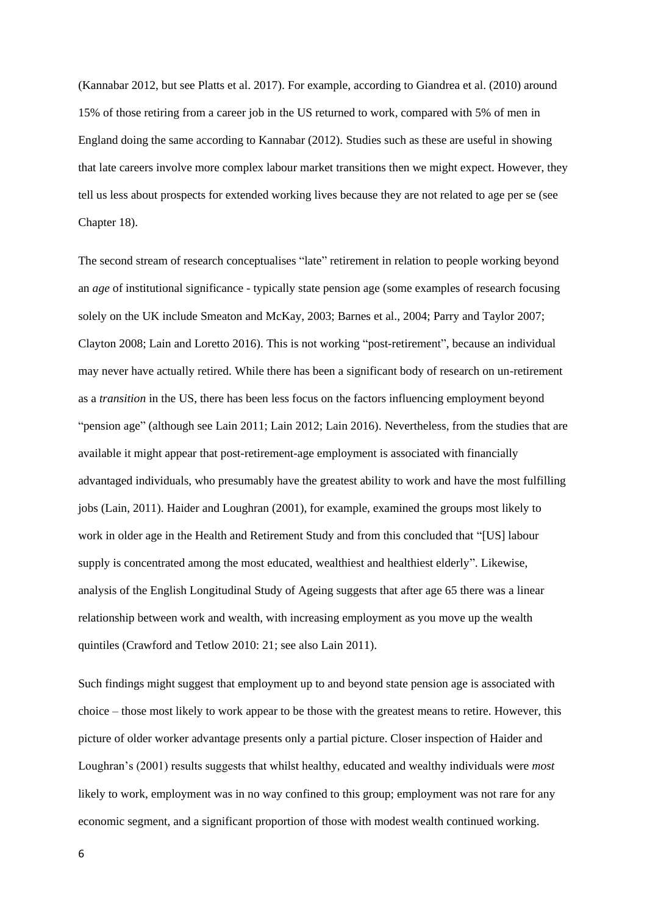(Kannabar 2012, but see Platts et al. 2017). For example, according to Giandrea et al. (2010) around 15% of those retiring from a career job in the US returned to work, compared with 5% of men in England doing the same according to Kannabar (2012). Studies such as these are useful in showing that late careers involve more complex labour market transitions then we might expect. However, they tell us less about prospects for extended working lives because they are not related to age per se (see Chapter 18).

The second stream of research conceptualises "late" retirement in relation to people working beyond an *age* of institutional significance - typically state pension age (some examples of research focusing solely on the UK include Smeaton and McKay, 2003; Barnes et al., 2004; Parry and Taylor 2007; Clayton 2008; Lain and Loretto 2016). This is not working "post-retirement", because an individual may never have actually retired. While there has been a significant body of research on un-retirement as a *transition* in the US, there has been less focus on the factors influencing employment beyond "pension age" (although see Lain 2011; Lain 2012; Lain 2016). Nevertheless, from the studies that are available it might appear that post-retirement-age employment is associated with financially advantaged individuals, who presumably have the greatest ability to work and have the most fulfilling jobs (Lain, 2011). Haider and Loughran (2001), for example, examined the groups most likely to work in older age in the Health and Retirement Study and from this concluded that "[US] labour supply is concentrated among the most educated, wealthiest and healthiest elderly". Likewise, analysis of the English Longitudinal Study of Ageing suggests that after age 65 there was a linear relationship between work and wealth, with increasing employment as you move up the wealth quintiles (Crawford and Tetlow 2010: 21; see also Lain 2011).

Such findings might suggest that employment up to and beyond state pension age is associated with choice – those most likely to work appear to be those with the greatest means to retire. However, this picture of older worker advantage presents only a partial picture. Closer inspection of Haider and Loughran's (2001) results suggests that whilst healthy, educated and wealthy individuals were *most* likely to work, employment was in no way confined to this group; employment was not rare for any economic segment, and a significant proportion of those with modest wealth continued working.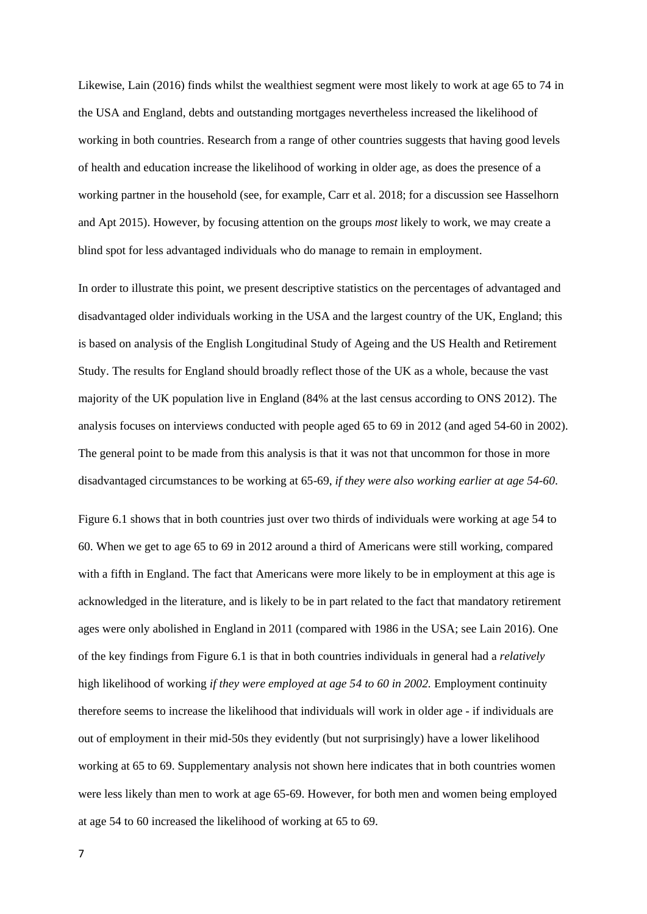Likewise, Lain (2016) finds whilst the wealthiest segment were most likely to work at age 65 to 74 in the USA and England, debts and outstanding mortgages nevertheless increased the likelihood of working in both countries. Research from a range of other countries suggests that having good levels of health and education increase the likelihood of working in older age, as does the presence of a working partner in the household (see, for example, Carr et al. 2018; for a discussion see Hasselhorn and Apt 2015). However, by focusing attention on the groups *most* likely to work, we may create a blind spot for less advantaged individuals who do manage to remain in employment.

In order to illustrate this point, we present descriptive statistics on the percentages of advantaged and disadvantaged older individuals working in the USA and the largest country of the UK, England; this is based on analysis of the English Longitudinal Study of Ageing and the US Health and Retirement Study. The results for England should broadly reflect those of the UK as a whole, because the vast majority of the UK population live in England (84% at the last census according to ONS 2012). The analysis focuses on interviews conducted with people aged 65 to 69 in 2012 (and aged 54-60 in 2002). The general point to be made from this analysis is that it was not that uncommon for those in more disadvantaged circumstances to be working at 65-69, *if they were also working earlier at age 54-60*.

Figure 6.1 shows that in both countries just over two thirds of individuals were working at age 54 to 60. When we get to age 65 to 69 in 2012 around a third of Americans were still working, compared with a fifth in England. The fact that Americans were more likely to be in employment at this age is acknowledged in the literature, and is likely to be in part related to the fact that mandatory retirement ages were only abolished in England in 2011 (compared with 1986 in the USA; see Lain 2016). One of the key findings from Figure 6.1 is that in both countries individuals in general had a *relatively* high likelihood of working *if they were employed at age 54 to 60 in 2002.* Employment continuity therefore seems to increase the likelihood that individuals will work in older age - if individuals are out of employment in their mid-50s they evidently (but not surprisingly) have a lower likelihood working at 65 to 69. Supplementary analysis not shown here indicates that in both countries women were less likely than men to work at age 65-69. However, for both men and women being employed at age 54 to 60 increased the likelihood of working at 65 to 69.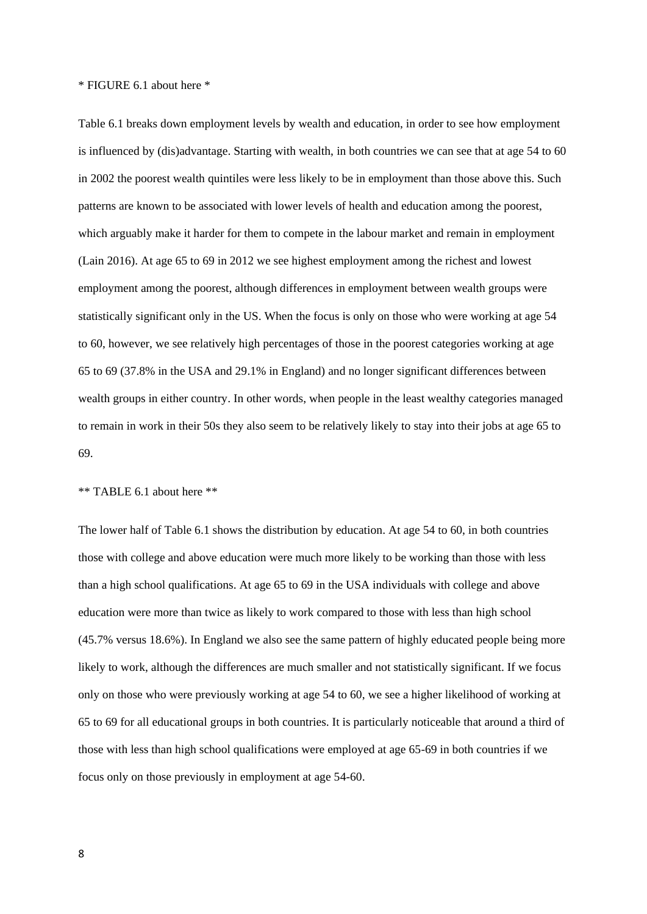\* FIGURE 6.1 about here \*

Table 6.1 breaks down employment levels by wealth and education, in order to see how employment is influenced by (dis)advantage. Starting with wealth, in both countries we can see that at age 54 to 60 in 2002 the poorest wealth quintiles were less likely to be in employment than those above this. Such patterns are known to be associated with lower levels of health and education among the poorest, which arguably make it harder for them to compete in the labour market and remain in employment (Lain 2016). At age 65 to 69 in 2012 we see highest employment among the richest and lowest employment among the poorest, although differences in employment between wealth groups were statistically significant only in the US. When the focus is only on those who were working at age 54 to 60, however, we see relatively high percentages of those in the poorest categories working at age 65 to 69 (37.8% in the USA and 29.1% in England) and no longer significant differences between wealth groups in either country. In other words, when people in the least wealthy categories managed to remain in work in their 50s they also seem to be relatively likely to stay into their jobs at age 65 to 69.

### \*\* TABLE 6.1 about here \*\*

The lower half of Table 6.1 shows the distribution by education. At age 54 to 60, in both countries those with college and above education were much more likely to be working than those with less than a high school qualifications. At age 65 to 69 in the USA individuals with college and above education were more than twice as likely to work compared to those with less than high school (45.7% versus 18.6%). In England we also see the same pattern of highly educated people being more likely to work, although the differences are much smaller and not statistically significant. If we focus only on those who were previously working at age 54 to 60, we see a higher likelihood of working at 65 to 69 for all educational groups in both countries. It is particularly noticeable that around a third of those with less than high school qualifications were employed at age 65-69 in both countries if we focus only on those previously in employment at age 54-60.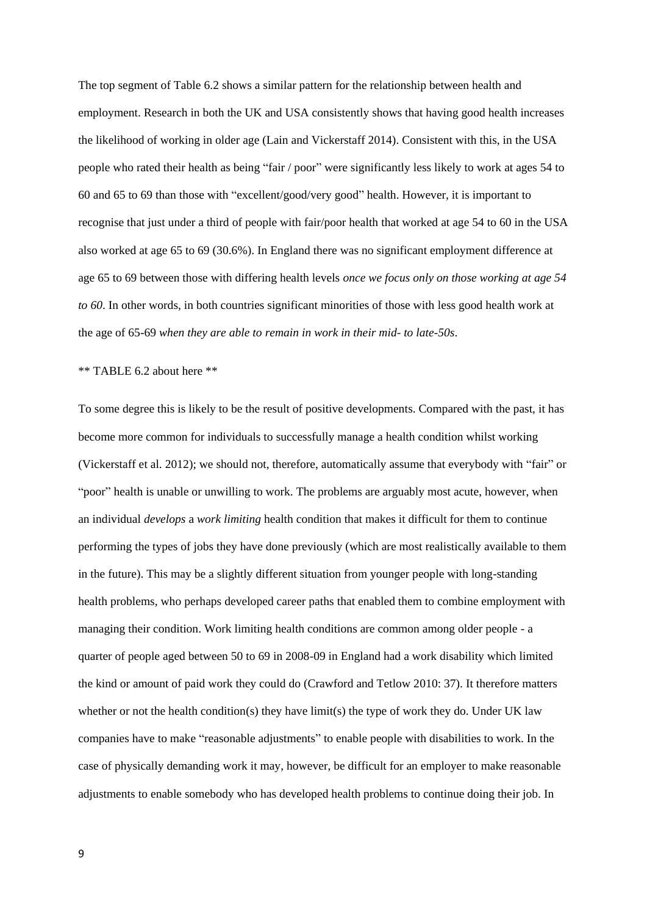The top segment of Table 6.2 shows a similar pattern for the relationship between health and employment. Research in both the UK and USA consistently shows that having good health increases the likelihood of working in older age (Lain and Vickerstaff 2014). Consistent with this, in the USA people who rated their health as being "fair / poor" were significantly less likely to work at ages 54 to 60 and 65 to 69 than those with "excellent/good/very good" health. However, it is important to recognise that just under a third of people with fair/poor health that worked at age 54 to 60 in the USA also worked at age 65 to 69 (30.6%). In England there was no significant employment difference at age 65 to 69 between those with differing health levels *once we focus only on those working at age 54 to 60*. In other words, in both countries significant minorities of those with less good health work at the age of 65-69 *when they are able to remain in work in their mid- to late-50s*.

#### \*\* TABLE 6.2 about here \*\*

To some degree this is likely to be the result of positive developments. Compared with the past, it has become more common for individuals to successfully manage a health condition whilst working (Vickerstaff et al. 2012); we should not, therefore, automatically assume that everybody with "fair" or "poor" health is unable or unwilling to work. The problems are arguably most acute, however, when an individual *develops* a *work limiting* health condition that makes it difficult for them to continue performing the types of jobs they have done previously (which are most realistically available to them in the future). This may be a slightly different situation from younger people with long-standing health problems, who perhaps developed career paths that enabled them to combine employment with managing their condition. Work limiting health conditions are common among older people - a quarter of people aged between 50 to 69 in 2008-09 in England had a work disability which limited the kind or amount of paid work they could do (Crawford and Tetlow 2010: 37). It therefore matters whether or not the health condition(s) they have limit(s) the type of work they do. Under UK law companies have to make "reasonable adjustments" to enable people with disabilities to work. In the case of physically demanding work it may, however, be difficult for an employer to make reasonable adjustments to enable somebody who has developed health problems to continue doing their job. In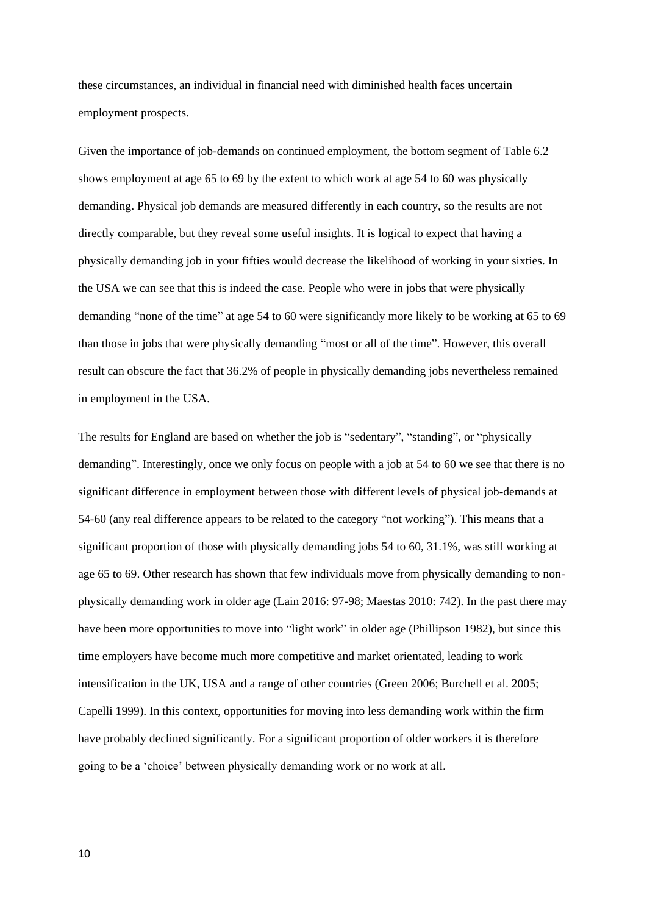these circumstances, an individual in financial need with diminished health faces uncertain employment prospects.

Given the importance of job-demands on continued employment, the bottom segment of Table 6.2 shows employment at age 65 to 69 by the extent to which work at age 54 to 60 was physically demanding. Physical job demands are measured differently in each country, so the results are not directly comparable, but they reveal some useful insights. It is logical to expect that having a physically demanding job in your fifties would decrease the likelihood of working in your sixties. In the USA we can see that this is indeed the case. People who were in jobs that were physically demanding "none of the time" at age 54 to 60 were significantly more likely to be working at 65 to 69 than those in jobs that were physically demanding "most or all of the time". However, this overall result can obscure the fact that 36.2% of people in physically demanding jobs nevertheless remained in employment in the USA.

The results for England are based on whether the job is "sedentary", "standing", or "physically demanding". Interestingly, once we only focus on people with a job at 54 to 60 we see that there is no significant difference in employment between those with different levels of physical job-demands at 54-60 (any real difference appears to be related to the category "not working"). This means that a significant proportion of those with physically demanding jobs 54 to 60, 31.1%, was still working at age 65 to 69. Other research has shown that few individuals move from physically demanding to nonphysically demanding work in older age (Lain 2016: 97-98; Maestas 2010: 742). In the past there may have been more opportunities to move into "light work" in older age (Phillipson 1982), but since this time employers have become much more competitive and market orientated, leading to work intensification in the UK, USA and a range of other countries (Green 2006; Burchell et al. 2005; Capelli 1999). In this context, opportunities for moving into less demanding work within the firm have probably declined significantly. For a significant proportion of older workers it is therefore going to be a 'choice' between physically demanding work or no work at all.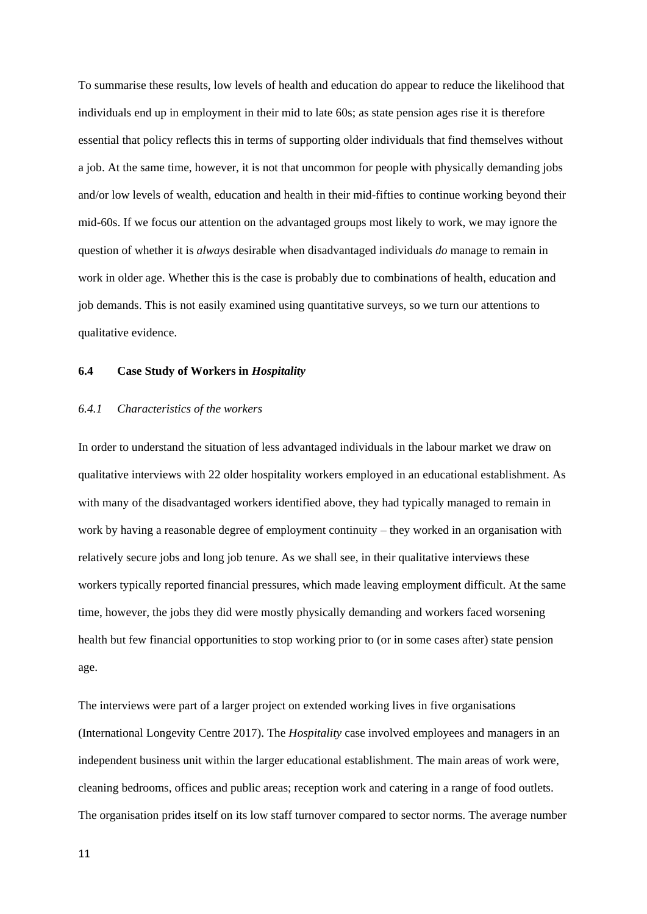To summarise these results, low levels of health and education do appear to reduce the likelihood that individuals end up in employment in their mid to late 60s; as state pension ages rise it is therefore essential that policy reflects this in terms of supporting older individuals that find themselves without a job. At the same time, however, it is not that uncommon for people with physically demanding jobs and/or low levels of wealth, education and health in their mid-fifties to continue working beyond their mid-60s. If we focus our attention on the advantaged groups most likely to work, we may ignore the question of whether it is *always* desirable when disadvantaged individuals *do* manage to remain in work in older age. Whether this is the case is probably due to combinations of health, education and job demands. This is not easily examined using quantitative surveys, so we turn our attentions to qualitative evidence.

#### **6.4 Case Study of Workers in** *Hospitality*

## *6.4.1 Characteristics of the workers*

In order to understand the situation of less advantaged individuals in the labour market we draw on qualitative interviews with 22 older hospitality workers employed in an educational establishment. As with many of the disadvantaged workers identified above, they had typically managed to remain in work by having a reasonable degree of employment continuity – they worked in an organisation with relatively secure jobs and long job tenure. As we shall see, in their qualitative interviews these workers typically reported financial pressures, which made leaving employment difficult. At the same time, however, the jobs they did were mostly physically demanding and workers faced worsening health but few financial opportunities to stop working prior to (or in some cases after) state pension age.

The interviews were part of a larger project on extended working lives in five organisations (International Longevity Centre 2017). The *Hospitality* case involved employees and managers in an independent business unit within the larger educational establishment. The main areas of work were, cleaning bedrooms, offices and public areas; reception work and catering in a range of food outlets. The organisation prides itself on its low staff turnover compared to sector norms. The average number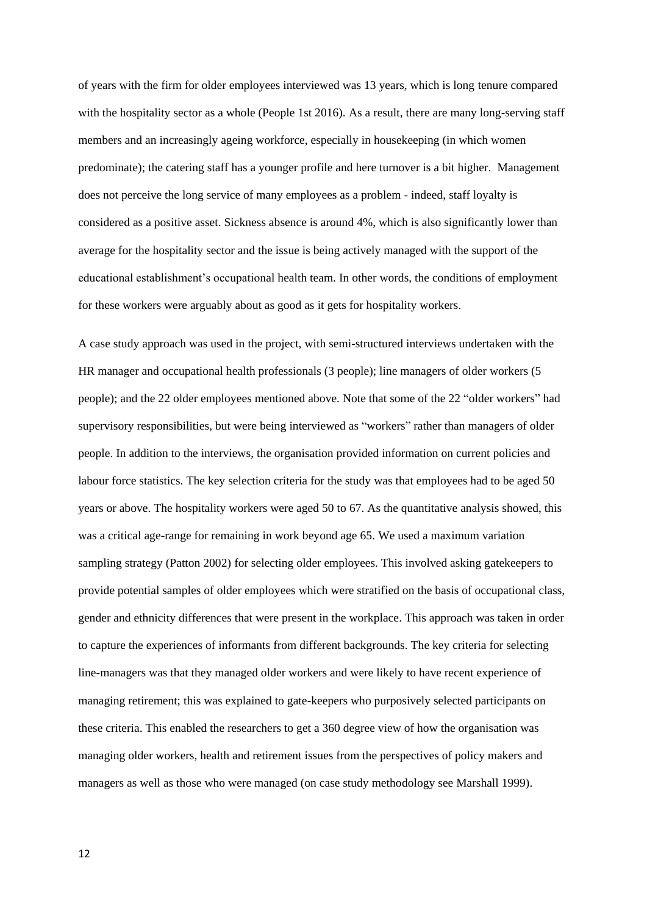of years with the firm for older employees interviewed was 13 years, which is long tenure compared with the hospitality sector as a whole (People 1st 2016). As a result, there are many long-serving staff members and an increasingly ageing workforce, especially in housekeeping (in which women predominate); the catering staff has a younger profile and here turnover is a bit higher. Management does not perceive the long service of many employees as a problem - indeed, staff loyalty is considered as a positive asset. Sickness absence is around 4%, which is also significantly lower than average for the hospitality sector and the issue is being actively managed with the support of the educational establishment's occupational health team. In other words, the conditions of employment for these workers were arguably about as good as it gets for hospitality workers.

A case study approach was used in the project, with semi-structured interviews undertaken with the HR manager and occupational health professionals (3 people); line managers of older workers (5 people); and the 22 older employees mentioned above. Note that some of the 22 "older workers" had supervisory responsibilities, but were being interviewed as "workers" rather than managers of older people. In addition to the interviews, the organisation provided information on current policies and labour force statistics. The key selection criteria for the study was that employees had to be aged 50 years or above. The hospitality workers were aged 50 to 67. As the quantitative analysis showed, this was a critical age-range for remaining in work beyond age 65. We used a maximum variation sampling strategy (Patton 2002) for selecting older employees. This involved asking gatekeepers to provide potential samples of older employees which were stratified on the basis of occupational class, gender and ethnicity differences that were present in the workplace. This approach was taken in order to capture the experiences of informants from different backgrounds. The key criteria for selecting line-managers was that they managed older workers and were likely to have recent experience of managing retirement; this was explained to gate-keepers who purposively selected participants on these criteria. This enabled the researchers to get a 360 degree view of how the organisation was managing older workers, health and retirement issues from the perspectives of policy makers and managers as well as those who were managed (on case study methodology see Marshall 1999).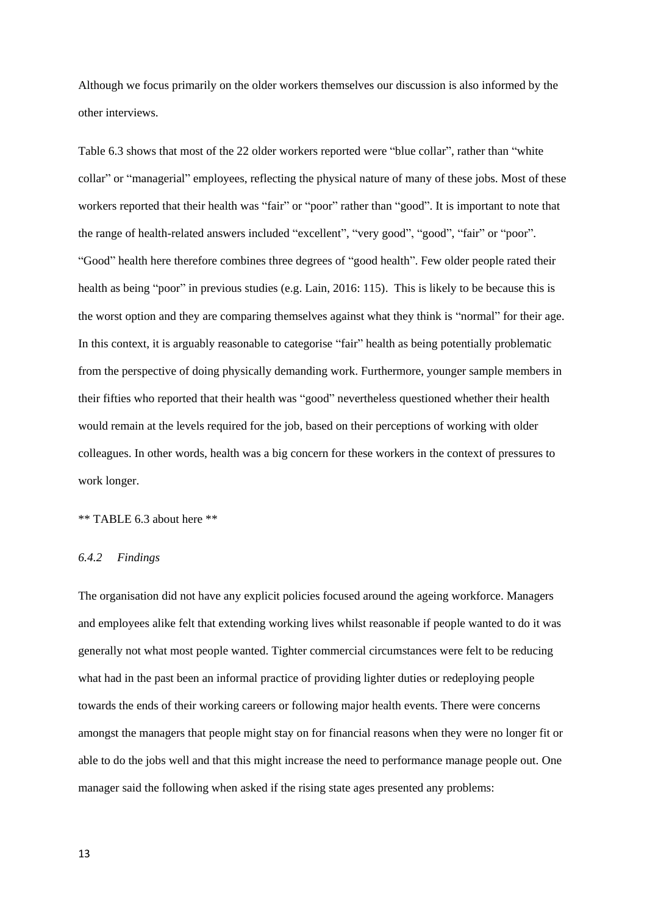Although we focus primarily on the older workers themselves our discussion is also informed by the other interviews.

Table 6.3 shows that most of the 22 older workers reported were "blue collar", rather than "white collar" or "managerial" employees, reflecting the physical nature of many of these jobs. Most of these workers reported that their health was "fair" or "poor" rather than "good". It is important to note that the range of health-related answers included "excellent", "very good", "good", "fair" or "poor". "Good" health here therefore combines three degrees of "good health". Few older people rated their health as being "poor" in previous studies (e.g. Lain, 2016: 115). This is likely to be because this is the worst option and they are comparing themselves against what they think is "normal" for their age. In this context, it is arguably reasonable to categorise "fair" health as being potentially problematic from the perspective of doing physically demanding work. Furthermore, younger sample members in their fifties who reported that their health was "good" nevertheless questioned whether their health would remain at the levels required for the job, based on their perceptions of working with older colleagues. In other words, health was a big concern for these workers in the context of pressures to work longer.

## \*\* TABLE 6.3 about here \*\*

#### *6.4.2 Findings*

The organisation did not have any explicit policies focused around the ageing workforce. Managers and employees alike felt that extending working lives whilst reasonable if people wanted to do it was generally not what most people wanted. Tighter commercial circumstances were felt to be reducing what had in the past been an informal practice of providing lighter duties or redeploying people towards the ends of their working careers or following major health events. There were concerns amongst the managers that people might stay on for financial reasons when they were no longer fit or able to do the jobs well and that this might increase the need to performance manage people out. One manager said the following when asked if the rising state ages presented any problems: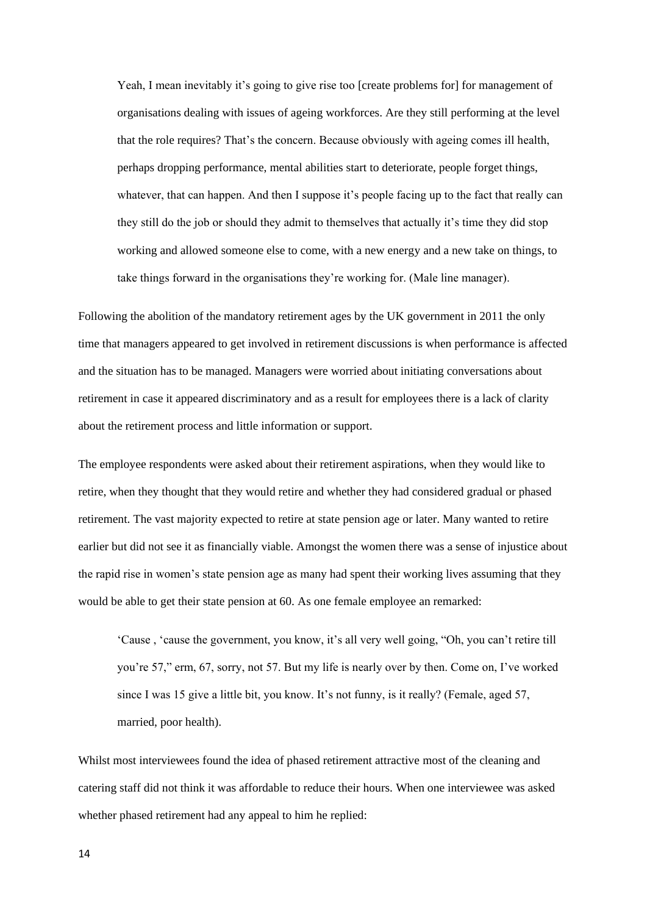Yeah, I mean inevitably it's going to give rise too [create problems for] for management of organisations dealing with issues of ageing workforces. Are they still performing at the level that the role requires? That's the concern. Because obviously with ageing comes ill health, perhaps dropping performance, mental abilities start to deteriorate, people forget things, whatever, that can happen. And then I suppose it's people facing up to the fact that really can they still do the job or should they admit to themselves that actually it's time they did stop working and allowed someone else to come, with a new energy and a new take on things, to take things forward in the organisations they're working for. (Male line manager).

Following the abolition of the mandatory retirement ages by the UK government in 2011 the only time that managers appeared to get involved in retirement discussions is when performance is affected and the situation has to be managed. Managers were worried about initiating conversations about retirement in case it appeared discriminatory and as a result for employees there is a lack of clarity about the retirement process and little information or support.

The employee respondents were asked about their retirement aspirations, when they would like to retire, when they thought that they would retire and whether they had considered gradual or phased retirement. The vast majority expected to retire at state pension age or later. Many wanted to retire earlier but did not see it as financially viable. Amongst the women there was a sense of injustice about the rapid rise in women's state pension age as many had spent their working lives assuming that they would be able to get their state pension at 60. As one female employee an remarked:

'Cause , 'cause the government, you know, it's all very well going, "Oh, you can't retire till you're 57," erm, 67, sorry, not 57. But my life is nearly over by then. Come on, I've worked since I was 15 give a little bit, you know. It's not funny, is it really? (Female, aged 57, married, poor health).

Whilst most interviewees found the idea of phased retirement attractive most of the cleaning and catering staff did not think it was affordable to reduce their hours. When one interviewee was asked whether phased retirement had any appeal to him he replied: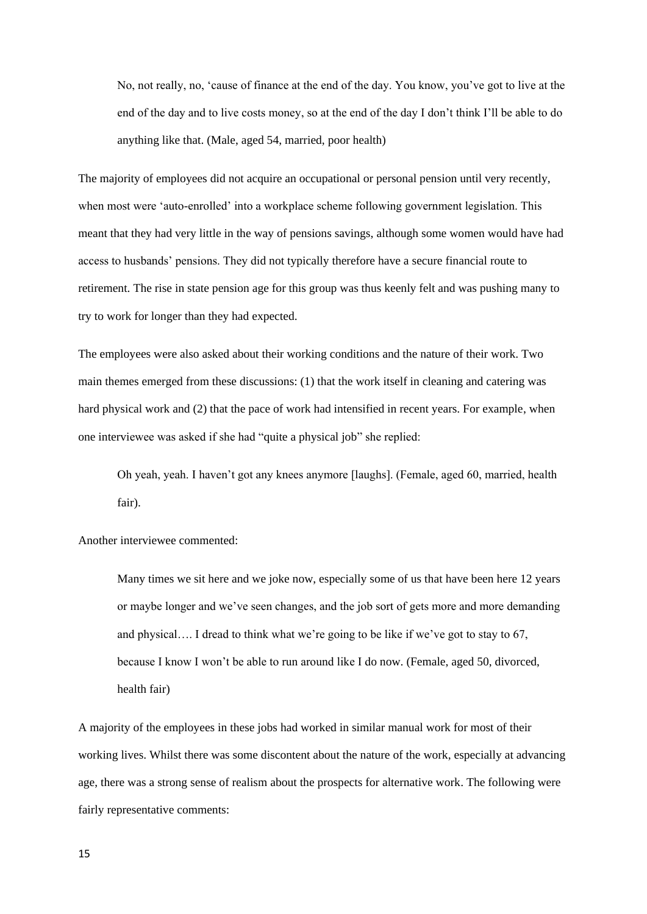No, not really, no, 'cause of finance at the end of the day. You know, you've got to live at the end of the day and to live costs money, so at the end of the day I don't think I'll be able to do anything like that. (Male, aged 54, married, poor health)

The majority of employees did not acquire an occupational or personal pension until very recently, when most were 'auto-enrolled' into a workplace scheme following government legislation. This meant that they had very little in the way of pensions savings, although some women would have had access to husbands' pensions. They did not typically therefore have a secure financial route to retirement. The rise in state pension age for this group was thus keenly felt and was pushing many to try to work for longer than they had expected.

The employees were also asked about their working conditions and the nature of their work. Two main themes emerged from these discussions: (1) that the work itself in cleaning and catering was hard physical work and (2) that the pace of work had intensified in recent years. For example, when one interviewee was asked if she had "quite a physical job" she replied:

Oh yeah, yeah. I haven't got any knees anymore [laughs]. (Female, aged 60, married, health fair).

Another interviewee commented:

Many times we sit here and we joke now, especially some of us that have been here 12 years or maybe longer and we've seen changes, and the job sort of gets more and more demanding and physical…. I dread to think what we're going to be like if we've got to stay to 67, because I know I won't be able to run around like I do now. (Female, aged 50, divorced, health fair)

A majority of the employees in these jobs had worked in similar manual work for most of their working lives. Whilst there was some discontent about the nature of the work, especially at advancing age, there was a strong sense of realism about the prospects for alternative work. The following were fairly representative comments: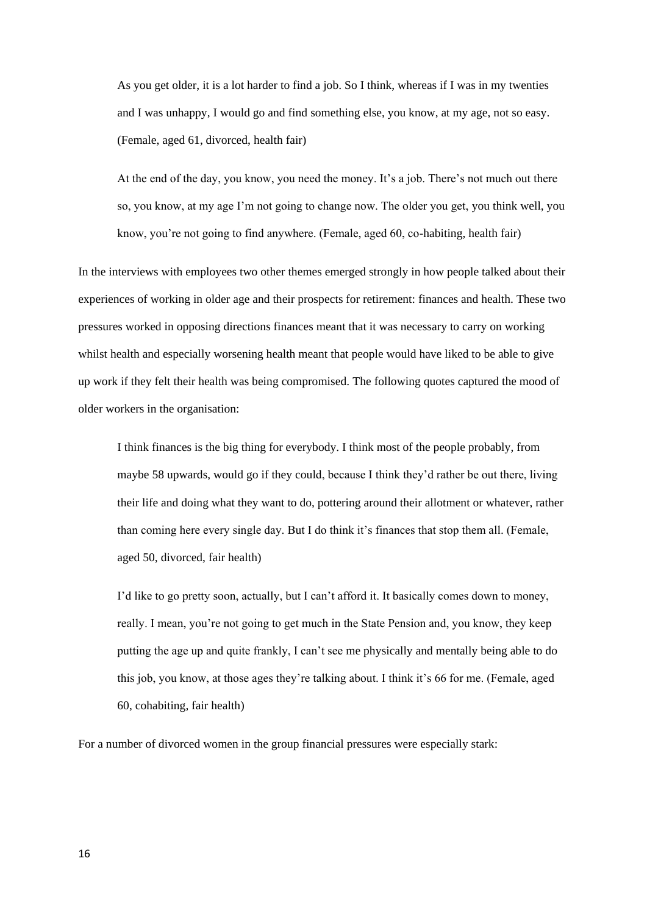As you get older, it is a lot harder to find a job. So I think, whereas if I was in my twenties and I was unhappy, I would go and find something else, you know, at my age, not so easy. (Female, aged 61, divorced, health fair)

At the end of the day, you know, you need the money. It's a job. There's not much out there so, you know, at my age I'm not going to change now. The older you get, you think well, you know, you're not going to find anywhere. (Female, aged 60, co-habiting, health fair)

In the interviews with employees two other themes emerged strongly in how people talked about their experiences of working in older age and their prospects for retirement: finances and health. These two pressures worked in opposing directions finances meant that it was necessary to carry on working whilst health and especially worsening health meant that people would have liked to be able to give up work if they felt their health was being compromised. The following quotes captured the mood of older workers in the organisation:

I think finances is the big thing for everybody. I think most of the people probably, from maybe 58 upwards, would go if they could, because I think they'd rather be out there, living their life and doing what they want to do, pottering around their allotment or whatever, rather than coming here every single day. But I do think it's finances that stop them all. (Female, aged 50, divorced, fair health)

I'd like to go pretty soon, actually, but I can't afford it. It basically comes down to money, really. I mean, you're not going to get much in the State Pension and, you know, they keep putting the age up and quite frankly, I can't see me physically and mentally being able to do this job, you know, at those ages they're talking about. I think it's 66 for me. (Female, aged 60, cohabiting, fair health)

For a number of divorced women in the group financial pressures were especially stark: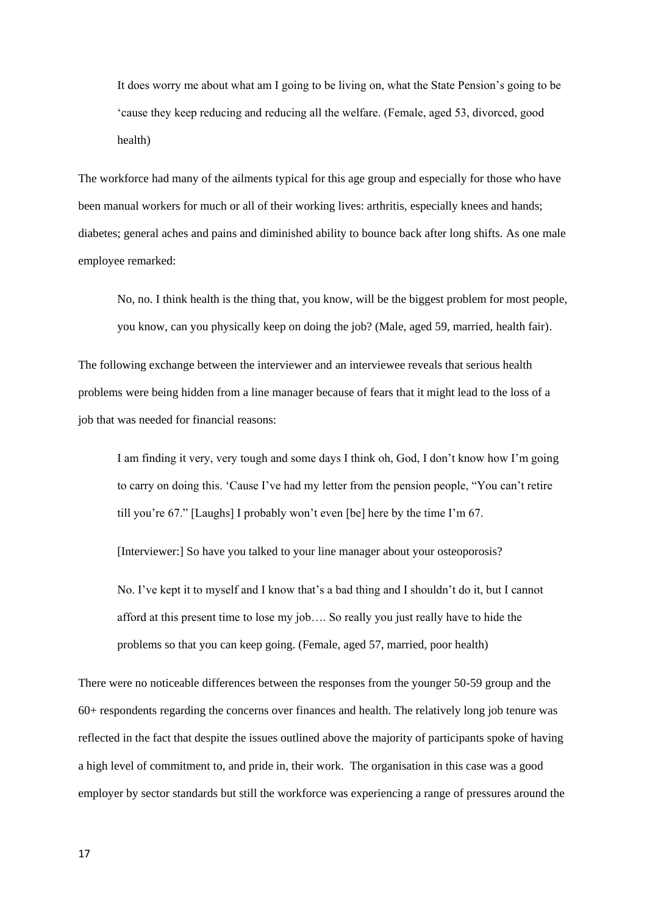It does worry me about what am I going to be living on, what the State Pension's going to be 'cause they keep reducing and reducing all the welfare. (Female, aged 53, divorced, good health)

The workforce had many of the ailments typical for this age group and especially for those who have been manual workers for much or all of their working lives: arthritis, especially knees and hands; diabetes; general aches and pains and diminished ability to bounce back after long shifts. As one male employee remarked:

No, no. I think health is the thing that, you know, will be the biggest problem for most people, you know, can you physically keep on doing the job? (Male, aged 59, married, health fair).

The following exchange between the interviewer and an interviewee reveals that serious health problems were being hidden from a line manager because of fears that it might lead to the loss of a job that was needed for financial reasons:

I am finding it very, very tough and some days I think oh, God, I don't know how I'm going to carry on doing this. 'Cause I've had my letter from the pension people, "You can't retire till you're 67." [Laughs] I probably won't even [be] here by the time I'm 67.

[Interviewer:] So have you talked to your line manager about your osteoporosis?

No. I've kept it to myself and I know that's a bad thing and I shouldn't do it, but I cannot afford at this present time to lose my job…. So really you just really have to hide the problems so that you can keep going. (Female, aged 57, married, poor health)

There were no noticeable differences between the responses from the younger 50-59 group and the 60+ respondents regarding the concerns over finances and health. The relatively long job tenure was reflected in the fact that despite the issues outlined above the majority of participants spoke of having a high level of commitment to, and pride in, their work. The organisation in this case was a good employer by sector standards but still the workforce was experiencing a range of pressures around the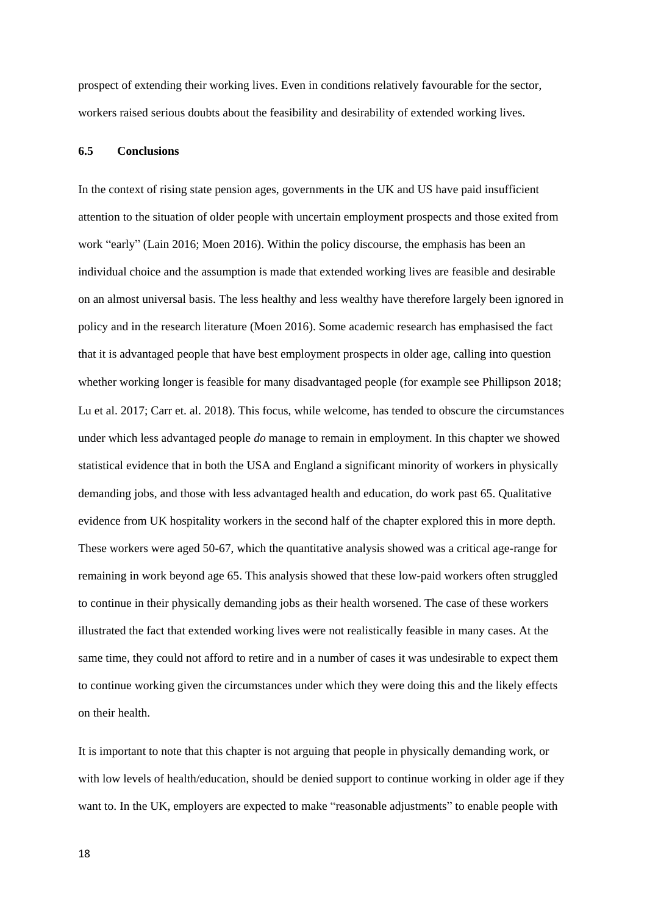prospect of extending their working lives. Even in conditions relatively favourable for the sector, workers raised serious doubts about the feasibility and desirability of extended working lives.

## **6.5 Conclusions**

In the context of rising state pension ages, governments in the UK and US have paid insufficient attention to the situation of older people with uncertain employment prospects and those exited from work "early" (Lain 2016; Moen 2016). Within the policy discourse, the emphasis has been an individual choice and the assumption is made that extended working lives are feasible and desirable on an almost universal basis. The less healthy and less wealthy have therefore largely been ignored in policy and in the research literature (Moen 2016). Some academic research has emphasised the fact that it is advantaged people that have best employment prospects in older age, calling into question whether working longer is feasible for many disadvantaged people (for example see Phillipson 2018; Lu et al. 2017; Carr et. al. 2018). This focus, while welcome, has tended to obscure the circumstances under which less advantaged people *do* manage to remain in employment. In this chapter we showed statistical evidence that in both the USA and England a significant minority of workers in physically demanding jobs, and those with less advantaged health and education, do work past 65. Qualitative evidence from UK hospitality workers in the second half of the chapter explored this in more depth. These workers were aged 50-67, which the quantitative analysis showed was a critical age-range for remaining in work beyond age 65. This analysis showed that these low-paid workers often struggled to continue in their physically demanding jobs as their health worsened. The case of these workers illustrated the fact that extended working lives were not realistically feasible in many cases. At the same time, they could not afford to retire and in a number of cases it was undesirable to expect them to continue working given the circumstances under which they were doing this and the likely effects on their health.

It is important to note that this chapter is not arguing that people in physically demanding work, or with low levels of health/education, should be denied support to continue working in older age if they want to. In the UK, employers are expected to make "reasonable adjustments" to enable people with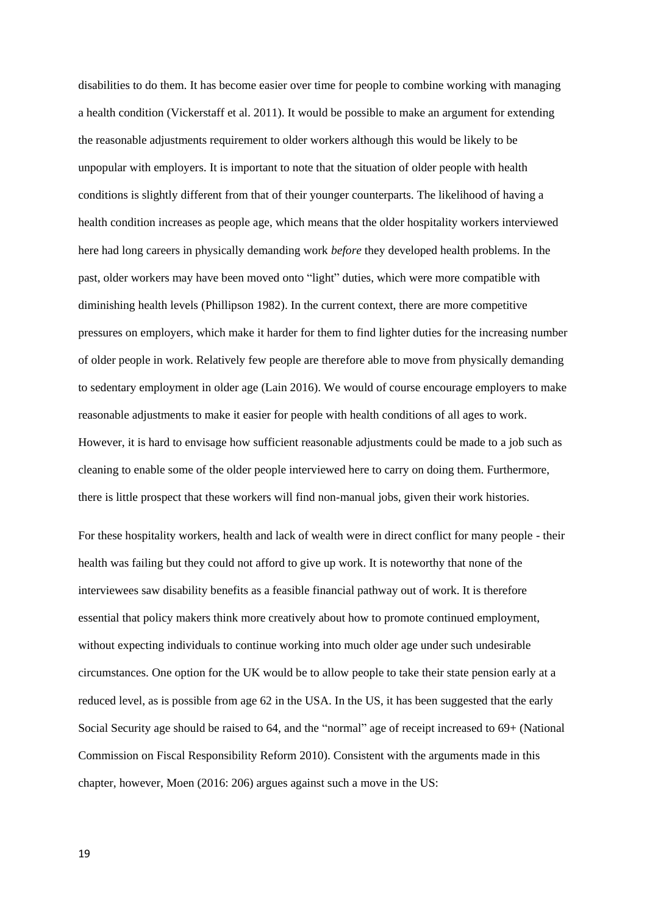disabilities to do them. It has become easier over time for people to combine working with managing a health condition (Vickerstaff et al. 2011). It would be possible to make an argument for extending the reasonable adjustments requirement to older workers although this would be likely to be unpopular with employers. It is important to note that the situation of older people with health conditions is slightly different from that of their younger counterparts. The likelihood of having a health condition increases as people age, which means that the older hospitality workers interviewed here had long careers in physically demanding work *before* they developed health problems. In the past, older workers may have been moved onto "light" duties, which were more compatible with diminishing health levels (Phillipson 1982). In the current context, there are more competitive pressures on employers, which make it harder for them to find lighter duties for the increasing number of older people in work. Relatively few people are therefore able to move from physically demanding to sedentary employment in older age (Lain 2016). We would of course encourage employers to make reasonable adjustments to make it easier for people with health conditions of all ages to work. However, it is hard to envisage how sufficient reasonable adjustments could be made to a job such as cleaning to enable some of the older people interviewed here to carry on doing them. Furthermore, there is little prospect that these workers will find non-manual jobs, given their work histories.

For these hospitality workers, health and lack of wealth were in direct conflict for many people - their health was failing but they could not afford to give up work. It is noteworthy that none of the interviewees saw disability benefits as a feasible financial pathway out of work. It is therefore essential that policy makers think more creatively about how to promote continued employment, without expecting individuals to continue working into much older age under such undesirable circumstances. One option for the UK would be to allow people to take their state pension early at a reduced level, as is possible from age 62 in the USA. In the US, it has been suggested that the early Social Security age should be raised to 64, and the "normal" age of receipt increased to 69+ (National Commission on Fiscal Responsibility Reform 2010). Consistent with the arguments made in this chapter, however, Moen (2016: 206) argues against such a move in the US: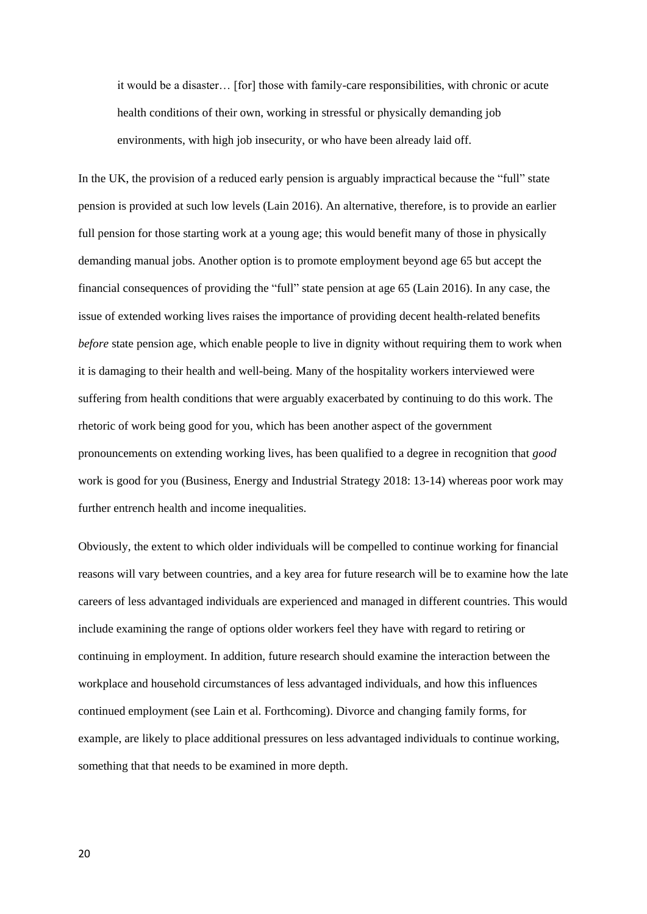it would be a disaster… [for] those with family-care responsibilities, with chronic or acute health conditions of their own, working in stressful or physically demanding job environments, with high job insecurity, or who have been already laid off.

In the UK, the provision of a reduced early pension is arguably impractical because the "full" state pension is provided at such low levels (Lain 2016). An alternative, therefore, is to provide an earlier full pension for those starting work at a young age; this would benefit many of those in physically demanding manual jobs. Another option is to promote employment beyond age 65 but accept the financial consequences of providing the "full" state pension at age 65 (Lain 2016). In any case, the issue of extended working lives raises the importance of providing decent health-related benefits *before* state pension age, which enable people to live in dignity without requiring them to work when it is damaging to their health and well-being. Many of the hospitality workers interviewed were suffering from health conditions that were arguably exacerbated by continuing to do this work. The rhetoric of work being good for you, which has been another aspect of the government pronouncements on extending working lives, has been qualified to a degree in recognition that *good* work is good for you (Business, Energy and Industrial Strategy 2018: 13-14) whereas poor work may further entrench health and income inequalities.

Obviously, the extent to which older individuals will be compelled to continue working for financial reasons will vary between countries, and a key area for future research will be to examine how the late careers of less advantaged individuals are experienced and managed in different countries. This would include examining the range of options older workers feel they have with regard to retiring or continuing in employment. In addition, future research should examine the interaction between the workplace and household circumstances of less advantaged individuals, and how this influences continued employment (see Lain et al. Forthcoming). Divorce and changing family forms, for example, are likely to place additional pressures on less advantaged individuals to continue working, something that that needs to be examined in more depth.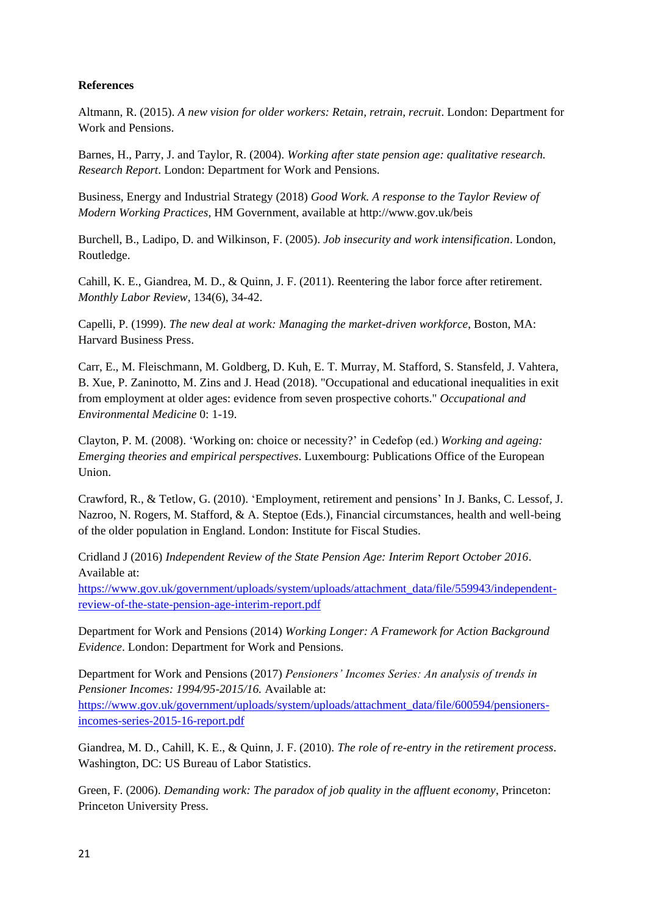# **References**

Altmann, R. (2015). *A new vision for older workers: Retain, retrain, recruit*. London: Department for Work and Pensions.

Barnes, H., Parry, J. and Taylor, R. (2004). *Working after state pension age: qualitative research. Research Report*. London: Department for Work and Pensions.

Business, Energy and Industrial Strategy (2018) *Good Work. A response to the Taylor Review of Modern Working Practices*, HM Government, available at http://www.gov.uk/beis

Burchell, B., Ladipo, D. and Wilkinson, F. (2005). *Job insecurity and work intensification*. London, Routledge.

Cahill, K. E., Giandrea, M. D., & Quinn, J. F. (2011). Reentering the labor force after retirement. *Monthly Labor Review*, 134(6), 34-42.

Capelli, P. (1999). *The new deal at work: Managing the market-driven workforce*, Boston, MA: Harvard Business Press.

Carr, E., M. Fleischmann, M. Goldberg, D. Kuh, E. T. Murray, M. Stafford, S. Stansfeld, J. Vahtera, B. Xue, P. Zaninotto, M. Zins and J. Head (2018). "Occupational and educational inequalities in exit from employment at older ages: evidence from seven prospective cohorts." *Occupational and Environmental Medicine* 0: 1-19.

Clayton, P. M. (2008). 'Working on: choice or necessity?' in Cedefop (ed.) *Working and ageing: Emerging theories and empirical perspectives*. Luxembourg: Publications Office of the European Union.

Crawford, R., & Tetlow, G. (2010). 'Employment, retirement and pensions' In J. Banks, C. Lessof, J. Nazroo, N. Rogers, M. Stafford, & A. Steptoe (Eds.), Financial circumstances, health and well-being of the older population in England. London: Institute for Fiscal Studies.

Cridland J (2016) *Independent Review of the State Pension Age: Interim Report October 2016*. Available at:

[https://www.gov.uk/government/uploads/system/uploads/attachment\\_data/file/559943/independent](https://www.gov.uk/government/uploads/system/uploads/attachment_data/file/559943/independent-review-of-the-state-pension-age-interim-report.pdf)[review-of-the-state-pension-age-interim-report.pdf](https://www.gov.uk/government/uploads/system/uploads/attachment_data/file/559943/independent-review-of-the-state-pension-age-interim-report.pdf)

Department for Work and Pensions (2014) *Working Longer: A Framework for Action Background Evidence*. London: Department for Work and Pensions.

Department for Work and Pensions (2017) *Pensioners' Incomes Series: An analysis of trends in Pensioner Incomes: 1994/95-2015/16.* Available at: [https://www.gov.uk/government/uploads/system/uploads/attachment\\_data/file/600594/pensioners](https://www.gov.uk/government/uploads/system/uploads/attachment_data/file/600594/pensioners-incomes-series-2015-16-report.pdf)[incomes-series-2015-16-report.pdf](https://www.gov.uk/government/uploads/system/uploads/attachment_data/file/600594/pensioners-incomes-series-2015-16-report.pdf)

Giandrea, M. D., Cahill, K. E., & Quinn, J. F. (2010). *The role of re-entry in the retirement process*. Washington, DC: US Bureau of Labor Statistics.

Green, F. (2006). *Demanding work: The paradox of job quality in the affluent economy*, Princeton: Princeton University Press.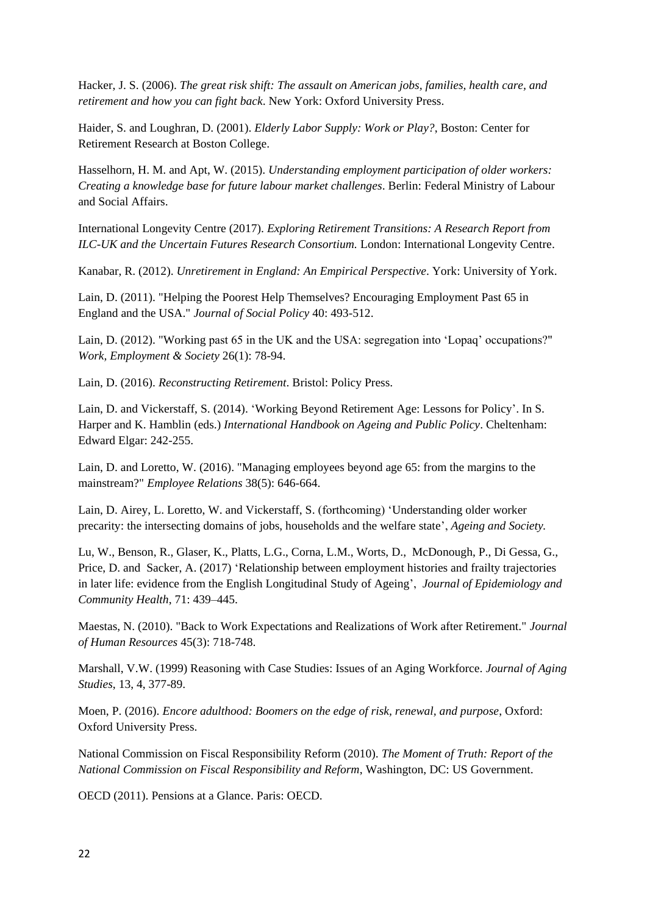Hacker, J. S. (2006). *The great risk shift: The assault on American jobs, families, health care, and retirement and how you can fight back*. New York: Oxford University Press.

Haider, S. and Loughran, D. (2001). *Elderly Labor Supply: Work or Play?*, Boston: Center for Retirement Research at Boston College.

Hasselhorn, H. M. and Apt, W. (2015). *Understanding employment participation of older workers: Creating a knowledge base for future labour market challenges*. Berlin: Federal Ministry of Labour and Social Affairs.

International Longevity Centre (2017). *Exploring Retirement Transitions: A Research Report from ILC-UK and the Uncertain Futures Research Consortium.* London: International Longevity Centre.

Kanabar, R. (2012). *Unretirement in England: An Empirical Perspective*. York: University of York.

Lain, D. (2011). "Helping the Poorest Help Themselves? Encouraging Employment Past 65 in England and the USA." *Journal of Social Policy* 40: 493-512.

Lain, D. (2012). "Working past 65 in the UK and the USA: segregation into 'Lopaq' occupations?" *Work, Employment & Society* 26(1): 78-94.

Lain, D. (2016). *Reconstructing Retirement*. Bristol: Policy Press.

Lain, D. and Vickerstaff, S. (2014). 'Working Beyond Retirement Age: Lessons for Policy'. In S. Harper and K. Hamblin (eds.) *International Handbook on Ageing and Public Policy*. Cheltenham: Edward Elgar: 242-255.

Lain, D. and Loretto, W. (2016). "Managing employees beyond age 65: from the margins to the mainstream?" *Employee Relations* 38(5): 646-664.

Lain, D. Airey, L. Loretto, W. and Vickerstaff, S. (forthcoming) 'Understanding older worker precarity: the intersecting domains of jobs, households and the welfare state', *Ageing and Society.*

Lu, W., Benson, R., Glaser, K., Platts, L.G., Corna, L.M., Worts, D., McDonough, P., Di Gessa, G., Price, D. and Sacker, A. (2017) 'Relationship between employment histories and frailty trajectories in later life: evidence from the English Longitudinal Study of Ageing', *Journal of Epidemiology and Community Health*, 71: 439–445.

Maestas, N. (2010). "Back to Work Expectations and Realizations of Work after Retirement." *Journal of Human Resources* 45(3): 718-748.

Marshall, V.W. (1999) Reasoning with Case Studies: Issues of an Aging Workforce. *Journal of Aging Studies*, 13, 4, 377-89.

Moen, P. (2016). *Encore adulthood: Boomers on the edge of risk, renewal, and purpose*, Oxford: Oxford University Press.

National Commission on Fiscal Responsibility Reform (2010). *The Moment of Truth: Report of the National Commission on Fiscal Responsibility and Reform*, Washington, DC: US Government.

OECD (2011). Pensions at a Glance. Paris: OECD.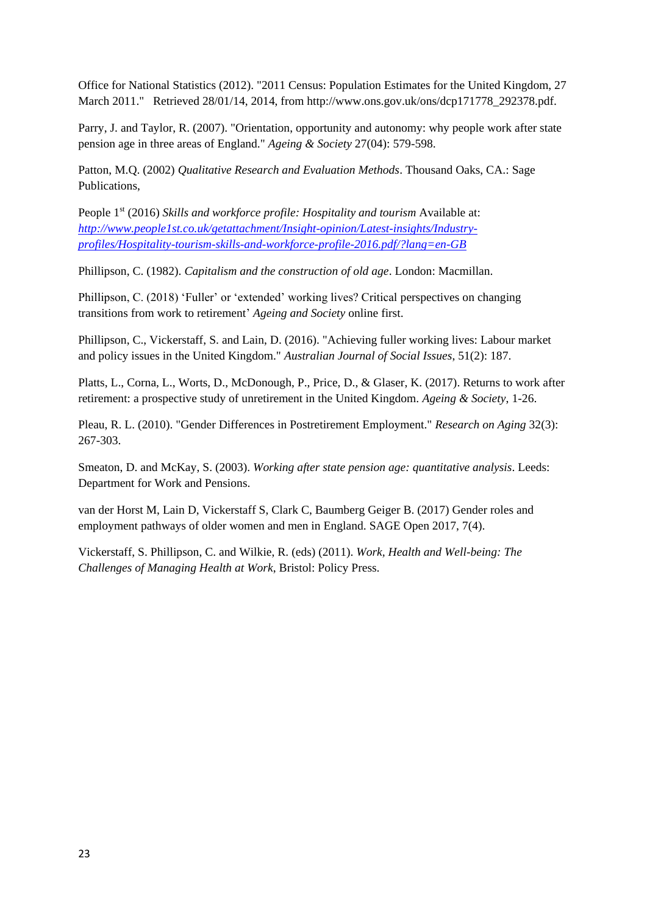Office for National Statistics (2012). "2011 Census: Population Estimates for the United Kingdom, 27 March 2011." Retrieved 28/01/14, 2014, from http://www.ons.gov.uk/ons/dcp171778\_292378.pdf.

Parry, J. and Taylor, R. (2007). "Orientation, opportunity and autonomy: why people work after state pension age in three areas of England." *Ageing & Society* 27(04): 579-598.

Patton, M.Q. (2002) *Qualitative Research and Evaluation Methods*. Thousand Oaks, CA.: Sage Publications,

People 1<sup>st</sup> (2016) *Skills and workforce profile: Hospitality and tourism* Available at: *[http://www.people1st.co.uk/getattachment/Insight-opinion/Latest-insights/Industry](http://www.people1st.co.uk/getattachment/Insight-opinion/Latest-insights/Industry-profiles/Hospitality-tourism-skills-and-workforce-profile-2016.pdf/?lang=en-GB)[profiles/Hospitality-tourism-skills-and-workforce-profile-2016.pdf/?lang=en-GB](http://www.people1st.co.uk/getattachment/Insight-opinion/Latest-insights/Industry-profiles/Hospitality-tourism-skills-and-workforce-profile-2016.pdf/?lang=en-GB)*

Phillipson, C. (1982). *Capitalism and the construction of old age*. London: Macmillan.

Phillipson, C. (2018) 'Fuller' or 'extended' working lives? Critical perspectives on changing transitions from work to retirement' *Ageing and Society* online first.

Phillipson, C., Vickerstaff, S. and Lain, D. (2016). "Achieving fuller working lives: Labour market and policy issues in the United Kingdom." *Australian Journal of Social Issues*, 51(2): 187.

Platts, L., Corna, L., Worts, D., McDonough, P., Price, D., & Glaser, K. (2017). Returns to work after retirement: a prospective study of unretirement in the United Kingdom. *Ageing & Society*, 1-26.

Pleau, R. L. (2010). "Gender Differences in Postretirement Employment." *Research on Aging* 32(3): 267-303.

Smeaton, D. and McKay, S. (2003). *Working after state pension age: quantitative analysis*. Leeds: Department for Work and Pensions.

van der Horst M, Lain D, Vickerstaff S, Clark C, Baumberg Geiger B. (2017) Gender roles and employment pathways of older women and men in England. SAGE Open 2017, 7(4).

Vickerstaff, S. Phillipson, C. and Wilkie, R. (eds) (2011). *Work, Health and Well-being: The Challenges of Managing Health at Work*, Bristol: Policy Press.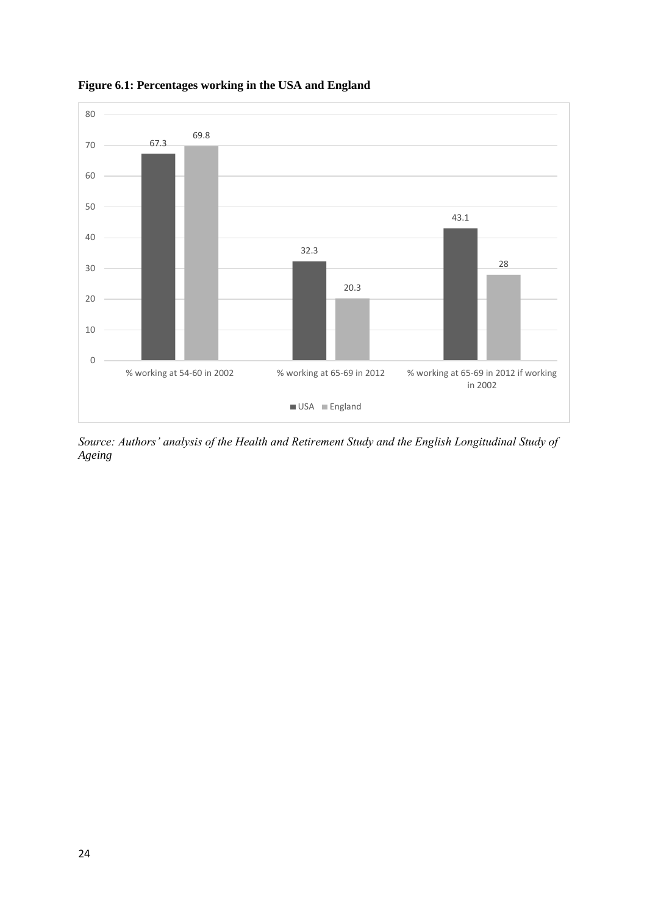

**Figure 6.1: Percentages working in the USA and England**

*Source: Authors' analysis of the Health and Retirement Study and the English Longitudinal Study of Ageing*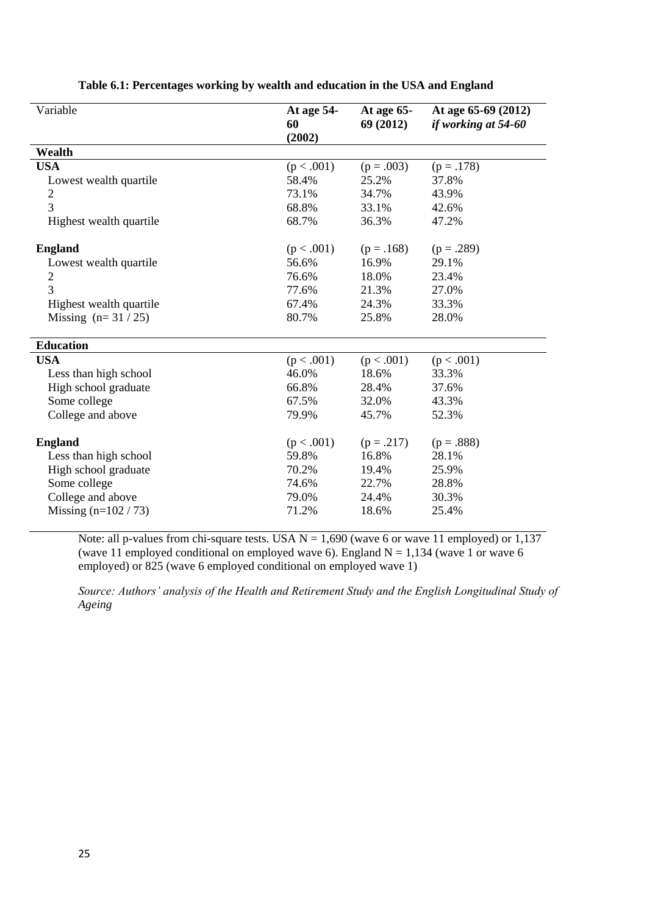| Variable                | At age 54-<br>60<br>(2002) | At age $65-$<br>69 (2012) | At age 65-69 (2012)<br>if working at 54-60 |
|-------------------------|----------------------------|---------------------------|--------------------------------------------|
| Wealth                  |                            |                           |                                            |
| <b>USA</b>              | (p < .001)                 | $(p=.003)$                | $(p=.178)$                                 |
| Lowest wealth quartile  | 58.4%                      | 25.2%                     | 37.8%                                      |
| $\mathbf{2}$            | 73.1%                      | 34.7%                     | 43.9%                                      |
| 3                       | 68.8%                      | 33.1%                     | 42.6%                                      |
| Highest wealth quartile | 68.7%                      | 36.3%                     | 47.2%                                      |
| <b>England</b>          | (p < .001)                 | $(p=.168)$                | $(p=.289)$                                 |
| Lowest wealth quartile  | 56.6%                      | 16.9%                     | 29.1%                                      |
| $\overline{c}$          | 76.6%                      | 18.0%                     | 23.4%                                      |
| $\overline{3}$          | 77.6%                      | 21.3%                     | 27.0%                                      |
| Highest wealth quartile | 67.4%                      | 24.3%                     | 33.3%                                      |
| Missing $(n=31/25)$     | 80.7%                      | 25.8%                     | 28.0%                                      |
| <b>Education</b>        |                            |                           |                                            |
| <b>USA</b>              | (p < .001)                 | (p < .001)                | (p < .001)                                 |
| Less than high school   | 46.0%                      | 18.6%                     | 33.3%                                      |
| High school graduate    | 66.8%                      | 28.4%                     | 37.6%                                      |
| Some college            | 67.5%                      | 32.0%                     | 43.3%                                      |
| College and above       | 79.9%                      | 45.7%                     | 52.3%                                      |
| <b>England</b>          | (p < .001)                 | $(p=.217)$                | $(p=.888)$                                 |
| Less than high school   | 59.8%                      | 16.8%                     | 28.1%                                      |
| High school graduate    | 70.2%                      | 19.4%                     | 25.9%                                      |
| Some college            | 74.6%                      | 22.7%                     | 28.8%                                      |
| College and above       | 79.0%                      | 24.4%                     | 30.3%                                      |
| Missing $(n=102 / 73)$  | 71.2%                      | 18.6%                     | 25.4%                                      |

**Table 6.1: Percentages working by wealth and education in the USA and England**

Note: all p-values from chi-square tests. USA  $N = 1,690$  (wave 6 or wave 11 employed) or 1,137 (wave 11 employed conditional on employed wave 6). England  $N = 1,134$  (wave 1 or wave 6) employed) or 825 (wave 6 employed conditional on employed wave 1)

*Source: Authors' analysis of the Health and Retirement Study and the English Longitudinal Study of Ageing*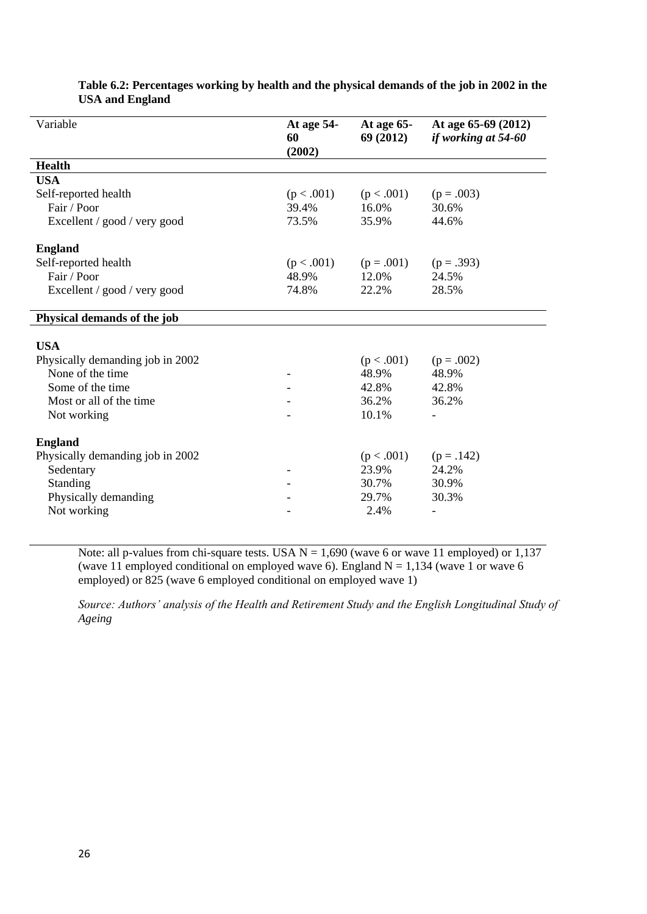| Variable                         | At age 54-<br>60<br>(2002) | At age $65-$<br>69 (2012) | At age 65-69 (2012)<br>if working at 54-60 |
|----------------------------------|----------------------------|---------------------------|--------------------------------------------|
| <b>Health</b>                    |                            |                           |                                            |
| <b>USA</b>                       |                            |                           |                                            |
| Self-reported health             | (p < .001)                 | (p < .001)                | $(p=.003)$                                 |
| Fair / Poor                      | 39.4%                      | 16.0%                     | 30.6%                                      |
| Excellent / good / very good     | 73.5%                      | 35.9%                     | 44.6%                                      |
| <b>England</b>                   |                            |                           |                                            |
| Self-reported health             | (p < .001)                 | $(p=.001)$                | $(p=.393)$                                 |
| Fair / Poor                      | 48.9%                      | 12.0%                     | 24.5%                                      |
| Excellent / good / very good     | 74.8%                      | 22.2%                     | 28.5%                                      |
| Physical demands of the job      |                            |                           |                                            |
| <b>USA</b>                       |                            |                           |                                            |
| Physically demanding job in 2002 |                            | (p < .001)                | $(p=.002)$                                 |
| None of the time                 |                            | 48.9%                     | 48.9%                                      |
| Some of the time                 |                            | 42.8%                     | 42.8%                                      |
| Most or all of the time          |                            | 36.2%                     | 36.2%                                      |
| Not working                      |                            | 10.1%                     |                                            |
| <b>England</b>                   |                            |                           |                                            |
| Physically demanding job in 2002 |                            | (p < .001)                | $(p=.142)$                                 |
| Sedentary                        |                            | 23.9%                     | 24.2%                                      |
| Standing                         |                            | 30.7%                     | 30.9%                                      |
| Physically demanding             |                            | 29.7%                     | 30.3%                                      |
| Not working                      |                            | 2.4%                      | $\overline{\phantom{a}}$                   |

# **Table 6.2: Percentages working by health and the physical demands of the job in 2002 in the USA and England**

Note: all p-values from chi-square tests. USA  $N = 1,690$  (wave 6 or wave 11 employed) or 1,137 (wave 11 employed conditional on employed wave 6). England N = 1,134 (wave 1 or wave 6 employed) or 825 (wave 6 employed conditional on employed wave 1)

*Source: Authors' analysis of the Health and Retirement Study and the English Longitudinal Study of Ageing*